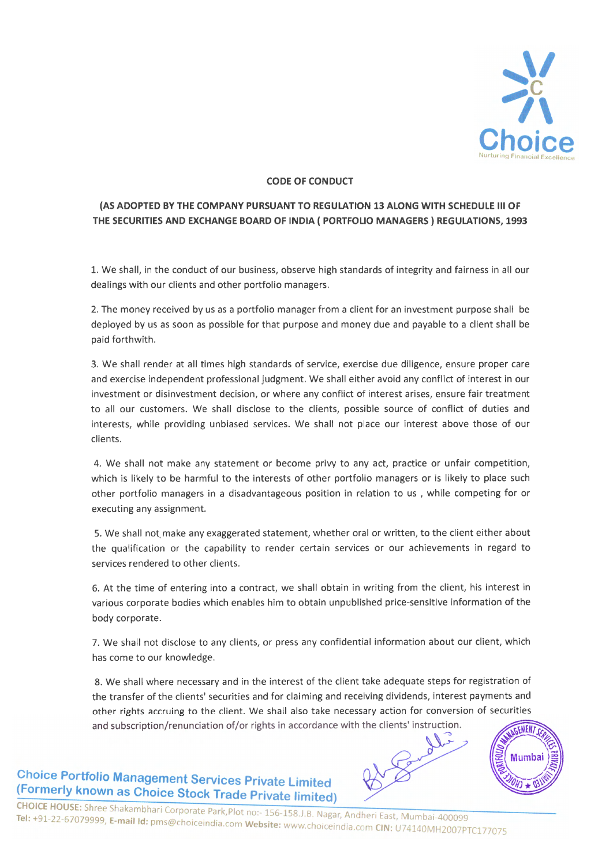

## **CODE OF CONDUCT**

## **(AS ADOPTED BY THE COMPANY PURSUANT TO REGULATION 13 ALONG WITH SCHEDULE Ill OF THE SECURITIES AND EXCHANGE BOARD OF INDIA ( PORTFOLIO MANAGERS} REGULATIONS, 1993**

1. We shall, in the conduct of our business, observe high standards of integrity and fairness in all our dealings with our clients and other portfolio managers.

2. The money received by us as a portfolio manager from a client for an investment purpose shall be deployed by us as soon as possible for that purpose and money due and payable to a client shall be paid forthwith.

3. We shall render at all times high standards of service, exercise due diligence, ensure proper care and exercise independent professional judgment. We shall either avoid any conflict of interest in our investment or disinvestment decision, or where any conflict of interest arises, ensure fair treatment to all our customers. We shall disclose to the clients, possible source of conflict of duties and interests, while providing unbiased services. We shall not place our interest above those of our clients.

4. We shall not make any statement or become privy to any *act,* practice or unfair competition, which is likely to be harmful to the interests of other portfolio managers or is likely to place such other portfolio managers in a disadvantageous position in relation to us , while competing for or executing any assignment.

5. We shall not. make any exaggerated statement, whether oral or written, to the client either about the qualification or the capability to render certain services or our achievements in regard to services rendered to other clients.

6. At the time of entering into a contract, we shall obtain in writing from the client, his interest in various corporate bodies which enables him to obtain unpublished price-sensitive information of the body corporate.

7. We shall not disclose to any clients, or press any confidential information about our client, which has come to our knowledge.

8. We shall where necessary and in the interest of the client take adequate steps for registration of the transfer of the clients' securities and for claiming and receiving dividends, interest payments and other rights accruing to the client. We shall also take necessary action for conversion of securities and subscription/renunciation of/or rights in accordance with the clients' instruction.

**Choice Portfolio Management Services Private limited (Formerly known as Choice Stock Trade Private limited)** 



CHOICE HOUSE: Shree Shakambhari Corporate Park,Plot no:- 156-158.J.B. Nagar, Andheri East, Mumbai-400099 Tel: +91-22-67079999, E-mail Id: pms@choiceindia.com Website: www.choiceindia.com CIN: U74140MH2007PTC177075